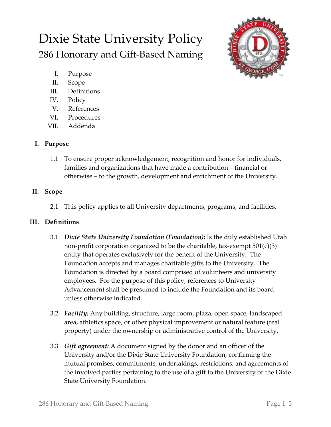# Dixie State University Policy 286 Honorary and Gift-Based Naming



- I. Purpose
- II. Scope
- III. Definitions
- IV. Policy
- V. References
- VI. Procedures
- VII. Addenda

## **I. Purpose**

1.1 To ensure proper acknowledgement, recognition and honor for individuals, families and organizations that have made a contribution – financial or otherwise – to the growth, development and enrichment of the University.

## **II. Scope**

2.1 This policy applies to all University departments, programs, and facilities.

# **III. Definitions**

- 3.1 *Dixie State University Foundation (Foundation)***:** Is the duly established Utah non-profit corporation organized to be the charitable, tax-exempt  $501(c)(3)$ entity that operates exclusively for the benefit of the University. The Foundation accepts and manages charitable gifts to the University. The Foundation is directed by a board comprised of volunteers and university employees. For the purpose of this policy, references to University Advancement shall be presumed to include the Foundation and its board unless otherwise indicated.
- 3.2 *Facility:* Any building, structure, large room, plaza, open space, landscaped area, athletics space, or other physical improvement or natural feature (real property) under the ownership or administrative control of the University.
- 3.3 *Gift agreement:* A document signed by the donor and an officer of the University and/or the Dixie State University Foundation, confirming the mutual promises, commitments, undertakings, restrictions, and agreements of the involved parties pertaining to the use of a gift to the University or the Dixie State University Foundation.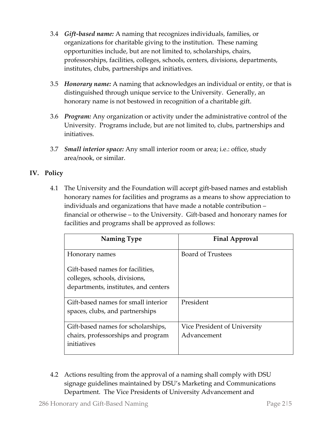- 3.4 *Gift-based name:* A naming that recognizes individuals, families, or organizations for charitable giving to the institution. These naming opportunities include, but are not limited to, scholarships, chairs, professorships, facilities, colleges, schools, centers, divisions, departments, institutes, clubs, partnerships and initiatives.
- 3.5 *Honorary name:* A naming that acknowledges an individual or entity, or that is distinguished through unique service to the University. Generally, an honorary name is not bestowed in recognition of a charitable gift.
- 3.6 *Program:* Any organization or activity under the administrative control of the University. Programs include, but are not limited to, clubs, partnerships and initiatives.
- 3.7 *Small interior space:* Any small interior room or area; i.e.: office, study area/nook, or similar.

## **IV. Policy**

4.1 The University and the Foundation will accept gift-based names and establish honorary names for facilities and programs as a means to show appreciation to individuals and organizations that have made a notable contribution – financial or otherwise – to the University. Gift-based and honorary names for facilities and programs shall be approved as follows:

| Naming Type                                                                                               | <b>Final Approval</b>                       |
|-----------------------------------------------------------------------------------------------------------|---------------------------------------------|
| Honorary names                                                                                            | <b>Board of Trustees</b>                    |
| Gift-based names for facilities,<br>colleges, schools, divisions,<br>departments, institutes, and centers |                                             |
| Gift-based names for small interior<br>spaces, clubs, and partnerships                                    | President                                   |
| Gift-based names for scholarships,<br>chairs, professorships and program<br>initiatives                   | Vice President of University<br>Advancement |

4.2 Actions resulting from the approval of a naming shall comply with DSU signage guidelines maintained by DSU's Marketing and Communications Department. The Vice Presidents of University Advancement and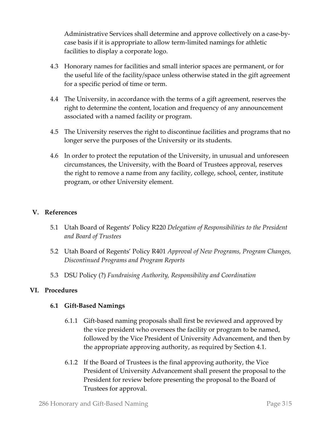Administrative Services shall determine and approve collectively on a case-bycase basis if it is appropriate to allow term-limited namings for athletic facilities to display a corporate logo.

- 4.3 Honorary names for facilities and small interior spaces are permanent, or for the useful life of the facility/space unless otherwise stated in the gift agreement for a specific period of time or term.
- 4.4 The University, in accordance with the terms of a gift agreement, reserves the right to determine the content, location and frequency of any announcement associated with a named facility or program.
- 4.5 The University reserves the right to discontinue facilities and programs that no longer serve the purposes of the University or its students.
- 4.6 In order to protect the reputation of the University, in unusual and unforeseen circumstances, the University, with the Board of Trustees approval, reserves the right to remove a name from any facility, college, school, center, institute program, or other University element.

### **V. References**

- 5.1 Utah Board of Regents' Policy R220 *Delegation of Responsibilities to the President and Board of Trustees*
- 5.2 Utah Board of Regents' Policy R401 *Approval of New Programs, Program Changes, Discontinued Programs and Program Reports*
- 5.3 DSU Policy (?) *Fundraising Authority, Responsibility and Coordination*

#### **VI. Procedures**

#### **6.1 Gift-Based Namings**

- 6.1.1 Gift-based naming proposals shall first be reviewed and approved by the vice president who oversees the facility or program to be named, followed by the Vice President of University Advancement, and then by the appropriate approving authority, as required by Section 4.1.
- 6.1.2 If the Board of Trustees is the final approving authority, the Vice President of University Advancement shall present the proposal to the President for review before presenting the proposal to the Board of Trustees for approval.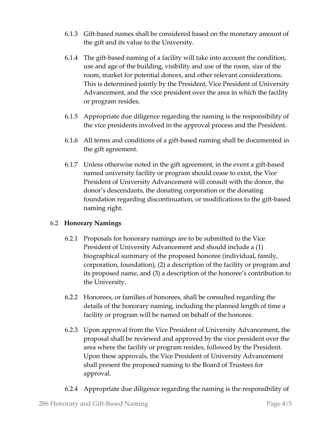- 6.1.3 Gift-based names shall be considered based on the monetary amount of the gift and its value to the University.
- 6.1.4 The gift-based naming of a facility will take into account the condition, use and age of the building, visibility and use of the room, size of the room, market for potential donors, and other relevant considerations. This is determined jointly by the President, Vice President of University Advancement, and the vice president over the area in which the facility or program resides.
- 6.1.5 Appropriate due diligence regarding the naming is the responsibility of the vice presidents involved in the approval process and the President.
- 6.1.6 All terms and conditions of a gift-based naming shall be documented in the gift agreement.
- 6.1.7 Unless otherwise noted in the gift agreement, in the event a gift-based named university facility or program should cease to exist, the Vice President of University Advancement will consult with the donor, the donor's descendants, the donating corporation or the donating foundation regarding discontinuation, or modifications to the gift-based naming right.

## 6.2 **Honorary Namings**

- 6.2.1 Proposals for honorary namings are to be submitted to the Vice President of University Advancement and should include a (1) biographical summary of the proposed honoree (individual, family, corporation, foundation), (2) a description of the facility or program and its proposed name, and (3) a description of the honoree's contribution to the University.
- 6.2.2 Honorees, or families of honorees, shall be consulted regarding the details of the honorary naming, including the planned length of time a facility or program will be named on behalf of the honoree.
- 6.2.3 Upon approval from the Vice President of University Advancement, the proposal shall be reviewed and approved by the vice president over the area where the facility or program resides, followed by the President. Upon these approvals, the Vice President of University Advancement shall present the proposed naming to the Board of Trustees for approval.
- 6.2.4 Appropriate due diligence regarding the naming is the responsibility of